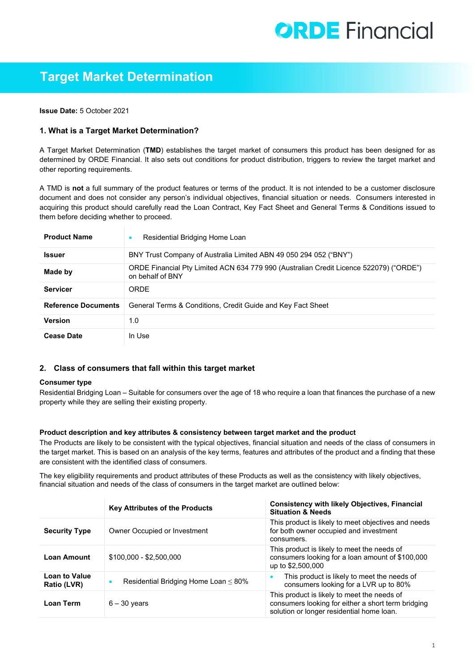# **ORDE** Financial

# **Target Market Determination**

**Issue Date:** 5 October 2021

# **1. What is a Target Market Determination?**

A Target Market Determination (**TMD**) establishes the target market of consumers this product has been designed for as determined by ORDE Financial. It also sets out conditions for product distribution, triggers to review the target market and other reporting requirements.

A TMD is **not** a full summary of the product features or terms of the product. It is not intended to be a customer disclosure document and does not consider any person's individual objectives, financial situation or needs. Consumers interested in acquiring this product should carefully read the Loan Contract, Key Fact Sheet and General Terms & Conditions issued to them before deciding whether to proceed.

| <b>Product Name</b>        | Residential Bridging Home Loan                                                                             |
|----------------------------|------------------------------------------------------------------------------------------------------------|
| <b>Issuer</b>              | BNY Trust Company of Australia Limited ABN 49 050 294 052 ("BNY")                                          |
| Made by                    | ORDE Financial Pty Limited ACN 634 779 990 (Australian Credit Licence 522079) ("ORDE")<br>on behalf of BNY |
| <b>Servicer</b>            | ORDE                                                                                                       |
| <b>Reference Documents</b> | General Terms & Conditions, Credit Guide and Key Fact Sheet                                                |
| <b>Version</b>             | 1.0                                                                                                        |
| <b>Cease Date</b>          | In Use                                                                                                     |

# **2. Class of consumers that fall within this target market**

#### **Consumer type**

Residential Bridging Loan – Suitable for consumers over the age of 18 who require a loan that finances the purchase of a new property while they are selling their existing property.

# **Product description and key attributes & consistency between target market and the product**

The Products are likely to be consistent with the typical objectives, financial situation and needs of the class of consumers in the target market. This is based on an analysis of the key terms, features and attributes of the product and a finding that these are consistent with the identified class of consumers.

The key eligibility requirements and product attributes of these Products as well as the consistency with likely objectives, financial situation and needs of the class of consumers in the target market are outlined below:

|                                     | <b>Key Attributes of the Products</b>      | <b>Consistency with likely Objectives, Financial</b><br><b>Situation &amp; Needs</b>                                                           |
|-------------------------------------|--------------------------------------------|------------------------------------------------------------------------------------------------------------------------------------------------|
| <b>Security Type</b>                | Owner Occupied or Investment               | This product is likely to meet objectives and needs<br>for both owner occupied and investment<br>consumers.                                    |
| <b>Loan Amount</b>                  | $$100,000 - $2,500,000$                    | This product is likely to meet the needs of<br>consumers looking for a loan amount of \$100,000<br>up to \$2,500,000                           |
| <b>Loan to Value</b><br>Ratio (LVR) | Residential Bridging Home Loan $\leq 80\%$ | This product is likely to meet the needs of<br>consumers looking for a LVR up to 80%                                                           |
| <b>Loan Term</b>                    | $6 - 30$ years                             | This product is likely to meet the needs of<br>consumers looking for either a short term bridging<br>solution or longer residential home loan. |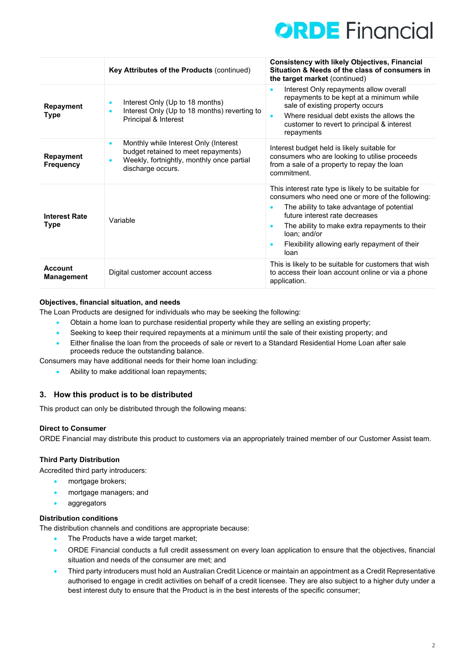

|                                      | Key Attributes of the Products (continued)                                                                                                                       | <b>Consistency with likely Objectives, Financial</b><br>Situation & Needs of the class of consumers in<br>the target market (continued)                                                                                                                                                                            |
|--------------------------------------|------------------------------------------------------------------------------------------------------------------------------------------------------------------|--------------------------------------------------------------------------------------------------------------------------------------------------------------------------------------------------------------------------------------------------------------------------------------------------------------------|
| <b>Repayment</b><br>Type             | Interest Only (Up to 18 months)<br>$\bullet$<br>Interest Only (Up to 18 months) reverting to<br>$\bullet$<br>Principal & Interest                                | Interest Only repayments allow overall<br>$\bullet$<br>repayments to be kept at a minimum while<br>sale of existing property occurs<br>Where residual debt exists the allows the<br>customer to revert to principal & interest<br>repayments                                                                       |
| <b>Repayment</b><br><b>Frequency</b> | Monthly while Interest Only (Interest<br>$\bullet$<br>budget retained to meet repayments)<br>Weekly, fortnightly, monthly once partial<br>ó<br>discharge occurs. | Interest budget held is likely suitable for<br>consumers who are looking to utilise proceeds<br>from a sale of a property to repay the loan<br>commitment.                                                                                                                                                         |
| <b>Interest Rate</b><br>Type         | Variable                                                                                                                                                         | This interest rate type is likely to be suitable for<br>consumers who need one or more of the following:<br>The ability to take advantage of potential<br>future interest rate decreases<br>The ability to make extra repayments to their<br>loan; and/or<br>Flexibility allowing early repayment of their<br>loan |
| Account<br><b>Management</b>         | Digital customer account access                                                                                                                                  | This is likely to be suitable for customers that wish<br>to access their loan account online or via a phone<br>application.                                                                                                                                                                                        |

# **Objectives, financial situation, and needs**

The Loan Products are designed for individuals who may be seeking the following:

- Obtain a home loan to purchase residential property while they are selling an existing property;
- Seeking to keep their required repayments at a minimum until the sale of their existing property; and
- Either finalise the loan from the proceeds of sale or revert to a Standard Residential Home Loan after sale proceeds reduce the outstanding balance.
- Consumers may have additional needs for their home loan including:
	- Ability to make additional loan repayments;

# **3. How this product is to be distributed**

This product can only be distributed through the following means:

#### **Direct to Consumer**

ORDE Financial may distribute this product to customers via an appropriately trained member of our Customer Assist team.

#### **Third Party Distribution**

Accredited third party introducers:

- mortgage brokers;
- mortgage managers; and
- aggregators

#### **Distribution conditions**

The distribution channels and conditions are appropriate because:

- The Products have a wide target market;
- ORDE Financial conducts a full credit assessment on every loan application to ensure that the objectives, financial situation and needs of the consumer are met; and
- Third party introducers must hold an Australian Credit Licence or maintain an appointment as a Credit Representative authorised to engage in credit activities on behalf of a credit licensee. They are also subject to a higher duty under a best interest duty to ensure that the Product is in the best interests of the specific consumer;